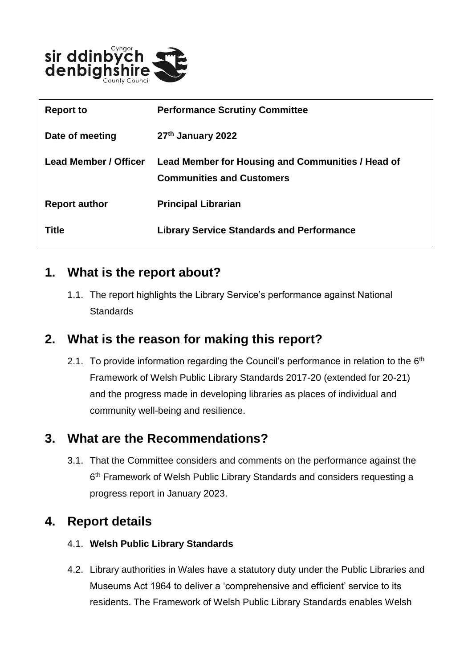

| <b>Report to</b>      | <b>Performance Scrutiny Committee</b>                                                 |
|-----------------------|---------------------------------------------------------------------------------------|
| Date of meeting       | 27th January 2022                                                                     |
| Lead Member / Officer | Lead Member for Housing and Communities / Head of<br><b>Communities and Customers</b> |
| <b>Report author</b>  | <b>Principal Librarian</b>                                                            |
| <b>Title</b>          | <b>Library Service Standards and Performance</b>                                      |

#### **1. What is the report about?**

1.1. The report highlights the Library Service's performance against National **Standards** 

#### **2. What is the reason for making this report?**

2.1. To provide information regarding the Council's performance in relation to the  $6<sup>th</sup>$ Framework of Welsh Public Library Standards 2017-20 (extended for 20-21) and the progress made in developing libraries as places of individual and community well-being and resilience.

# **3. What are the Recommendations?**

3.1. That the Committee considers and comments on the performance against the 6 th Framework of Welsh Public Library Standards and considers requesting a progress report in January 2023.

#### **4. Report details**

#### 4.1. **Welsh Public Library Standards**

4.2. Library authorities in Wales have a statutory duty under the Public Libraries and Museums Act 1964 to deliver a 'comprehensive and efficient' service to its residents. The Framework of Welsh Public Library Standards enables Welsh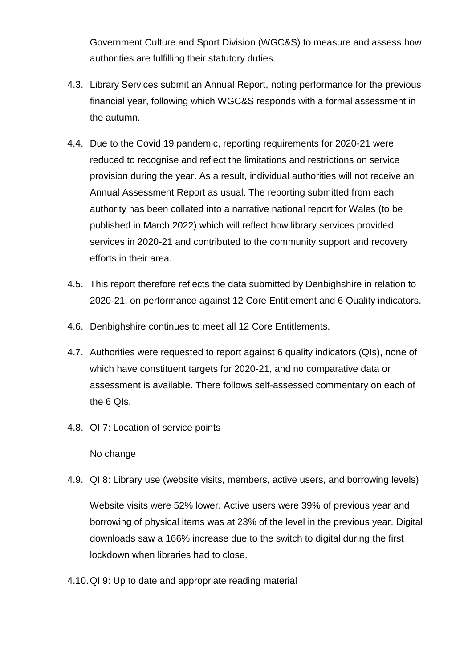Government Culture and Sport Division (WGC&S) to measure and assess how authorities are fulfilling their statutory duties.

- 4.3. Library Services submit an Annual Report, noting performance for the previous financial year, following which WGC&S responds with a formal assessment in the autumn.
- 4.4. Due to the Covid 19 pandemic, reporting requirements for 2020-21 were reduced to recognise and reflect the limitations and restrictions on service provision during the year. As a result, individual authorities will not receive an Annual Assessment Report as usual. The reporting submitted from each authority has been collated into a narrative national report for Wales (to be published in March 2022) which will reflect how library services provided services in 2020-21 and contributed to the community support and recovery efforts in their area.
- 4.5. This report therefore reflects the data submitted by Denbighshire in relation to 2020-21, on performance against 12 Core Entitlement and 6 Quality indicators.
- 4.6. Denbighshire continues to meet all 12 Core Entitlements.
- 4.7. Authorities were requested to report against 6 quality indicators (QIs), none of which have constituent targets for 2020-21, and no comparative data or assessment is available. There follows self-assessed commentary on each of the 6 QIs.
- 4.8. QI 7: Location of service points

#### No change

4.9. QI 8: Library use (website visits, members, active users, and borrowing levels)

Website visits were 52% lower. Active users were 39% of previous year and borrowing of physical items was at 23% of the level in the previous year. Digital downloads saw a 166% increase due to the switch to digital during the first lockdown when libraries had to close.

4.10.QI 9: Up to date and appropriate reading material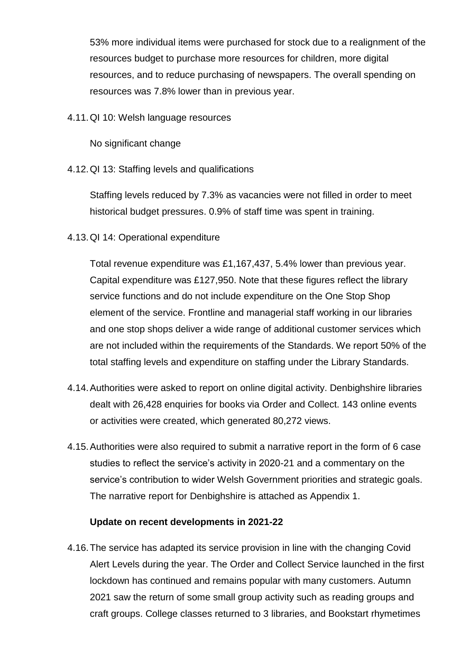53% more individual items were purchased for stock due to a realignment of the resources budget to purchase more resources for children, more digital resources, and to reduce purchasing of newspapers. The overall spending on resources was 7.8% lower than in previous year.

4.11.QI 10: Welsh language resources

No significant change

4.12.QI 13: Staffing levels and qualifications

Staffing levels reduced by 7.3% as vacancies were not filled in order to meet historical budget pressures. 0.9% of staff time was spent in training.

4.13.QI 14: Operational expenditure

Total revenue expenditure was £1,167,437, 5.4% lower than previous year. Capital expenditure was £127,950. Note that these figures reflect the library service functions and do not include expenditure on the One Stop Shop element of the service. Frontline and managerial staff working in our libraries and one stop shops deliver a wide range of additional customer services which are not included within the requirements of the Standards. We report 50% of the total staffing levels and expenditure on staffing under the Library Standards.

- 4.14.Authorities were asked to report on online digital activity. Denbighshire libraries dealt with 26,428 enquiries for books via Order and Collect. 143 online events or activities were created, which generated 80,272 views.
- 4.15.Authorities were also required to submit a narrative report in the form of 6 case studies to reflect the service's activity in 2020-21 and a commentary on the service's contribution to wider Welsh Government priorities and strategic goals. The narrative report for Denbighshire is attached as Appendix 1.

#### **Update on recent developments in 2021-22**

4.16.The service has adapted its service provision in line with the changing Covid Alert Levels during the year. The Order and Collect Service launched in the first lockdown has continued and remains popular with many customers. Autumn 2021 saw the return of some small group activity such as reading groups and craft groups. College classes returned to 3 libraries, and Bookstart rhymetimes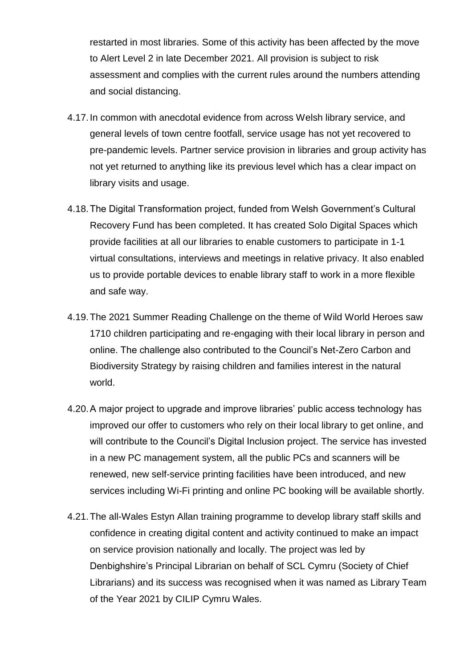restarted in most libraries. Some of this activity has been affected by the move to Alert Level 2 in late December 2021. All provision is subject to risk assessment and complies with the current rules around the numbers attending and social distancing.

- 4.17.In common with anecdotal evidence from across Welsh library service, and general levels of town centre footfall, service usage has not yet recovered to pre-pandemic levels. Partner service provision in libraries and group activity has not yet returned to anything like its previous level which has a clear impact on library visits and usage.
- 4.18.The Digital Transformation project, funded from Welsh Government's Cultural Recovery Fund has been completed. It has created Solo Digital Spaces which provide facilities at all our libraries to enable customers to participate in 1-1 virtual consultations, interviews and meetings in relative privacy. It also enabled us to provide portable devices to enable library staff to work in a more flexible and safe way.
- 4.19.The 2021 Summer Reading Challenge on the theme of Wild World Heroes saw 1710 children participating and re-engaging with their local library in person and online. The challenge also contributed to the Council's Net-Zero Carbon and Biodiversity Strategy by raising children and families interest in the natural world.
- 4.20.A major project to upgrade and improve libraries' public access technology has improved our offer to customers who rely on their local library to get online, and will contribute to the Council's Digital Inclusion project. The service has invested in a new PC management system, all the public PCs and scanners will be renewed, new self-service printing facilities have been introduced, and new services including Wi-Fi printing and online PC booking will be available shortly.
- 4.21.The all-Wales Estyn Allan training programme to develop library staff skills and confidence in creating digital content and activity continued to make an impact on service provision nationally and locally. The project was led by Denbighshire's Principal Librarian on behalf of SCL Cymru (Society of Chief Librarians) and its success was recognised when it was named as Library Team of the Year 2021 by CILIP Cymru Wales.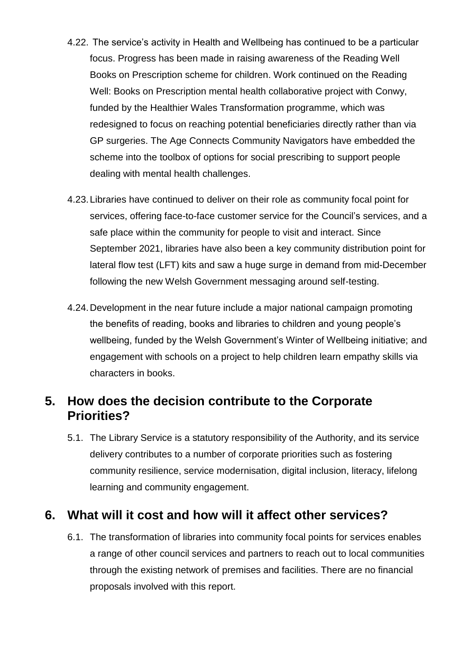- 4.22. The service's activity in Health and Wellbeing has continued to be a particular focus. Progress has been made in raising awareness of the Reading Well Books on Prescription scheme for children. Work continued on the Reading Well: Books on Prescription mental health collaborative project with Conwy, funded by the Healthier Wales Transformation programme, which was redesigned to focus on reaching potential beneficiaries directly rather than via GP surgeries. The Age Connects Community Navigators have embedded the scheme into the toolbox of options for social prescribing to support people dealing with mental health challenges.
- 4.23.Libraries have continued to deliver on their role as community focal point for services, offering face-to-face customer service for the Council's services, and a safe place within the community for people to visit and interact. Since September 2021, libraries have also been a key community distribution point for lateral flow test (LFT) kits and saw a huge surge in demand from mid-December following the new Welsh Government messaging around self-testing.
- 4.24.Development in the near future include a major national campaign promoting the benefits of reading, books and libraries to children and young people's wellbeing, funded by the Welsh Government's Winter of Wellbeing initiative; and engagement with schools on a project to help children learn empathy skills via characters in books.

# **5. How does the decision contribute to the Corporate Priorities?**

5.1. The Library Service is a statutory responsibility of the Authority, and its service delivery contributes to a number of corporate priorities such as fostering community resilience, service modernisation, digital inclusion, literacy, lifelong learning and community engagement.

# **6. What will it cost and how will it affect other services?**

6.1. The transformation of libraries into community focal points for services enables a range of other council services and partners to reach out to local communities through the existing network of premises and facilities. There are no financial proposals involved with this report.